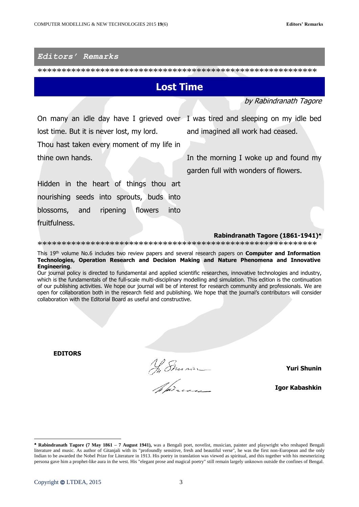## *Editors' Remarks*

\*\*\*\*\*\*\*\*\*\*\*\*\*\*\*\*\*\*\*\*\*\*\*\*\*\*\*\*\*\*\*\*\*\*\*\*\*\*\*\*\*\*\*\*\*\*\*\*\*\*\*\*\*\*\*\*\*\*

## **Lost Time**

by Rabindranath Tagore

On many an idle day have I grieved over I was tired and sleeping on my idle bed lost time. But it is never lost, my lord.

Thou hast taken every moment of my life in thine own hands.

and imagined all work had ceased.

In the morning I woke up and found my garden full with wonders of flowers.

Hidden in the heart of things thou art nourishing seeds into sprouts, buds into blossoms, and ripening flowers into fruitfulness.

**Rabindranath Tagore (1861-1941)**

\*\*\*\*\*\*\*\*\*\*\*\*\*\*\*\*\*\*\*\*\*\*\*\*\*\*\*\*\*\*\*\*\*\*\*\*\*\*\*\*\*\*\*\*\*\*\*\*\*\*\*\*\*\*\*\*\*\*

This 19 th volume No.6 includes two review papers and several research papers on **Computer and Information Technologies, Operation Research and Decision Making and Nature Phenomena and Innovative Engineering**.

Our journal policy is directed to fundamental and applied scientific researches, innovative technologies and industry, which is the fundamentals of the full-scale multi-disciplinary modelling and simulation. This edition is the continuation of our publishing activities. We hope our journal will be of interest for research community and professionals. We are open for collaboration both in the research field and publishing. We hope that the journal's contributors will consider collaboration with the Editorial Board as useful and constructive.

**EDITORS**

No Smain

**Yuri Shunin**

**Igor Kabashkin**

 $\overline{\phantom{a}}$ 

**Rabindranath Tagore (7 May 1861 – 7 August 1941),** was a Bengali poet, novelist, musician, painter and playwright who reshaped Bengali literature and music. As author of Gitanjali with its "profoundly sensitive, fresh and beautiful verse", he was the first non-European and the only Indian to be awarded the Nobel Prize for Literature in 1913. His poetry in translation was viewed as spiritual, and this together with his mesmerizing persona gave him a prophet-like aura in the west. His "elegant prose and magical poetry" still remain largely unknown outside the confines of Bengal.